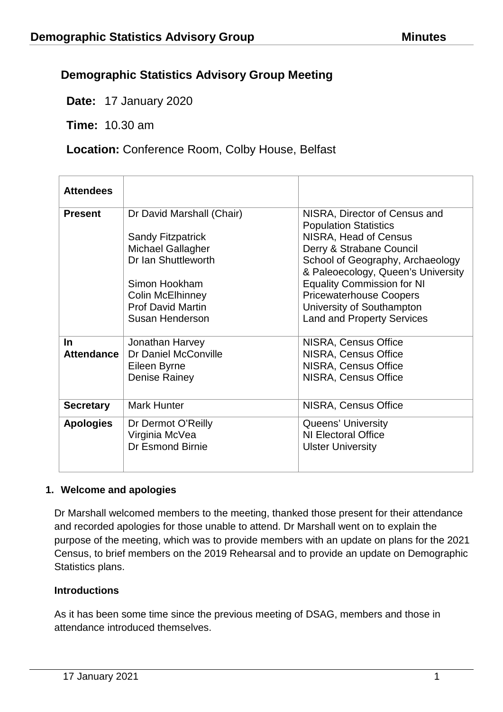# **Demographic Statistics Advisory Group Meeting**

**Date:** 17 January 2020

**Time:** 10.30 am

**Location:** Conference Room, Colby House, Belfast

| <b>Attendees</b>  |                                                                 |                                                                        |
|-------------------|-----------------------------------------------------------------|------------------------------------------------------------------------|
| <b>Present</b>    | Dr David Marshall (Chair)                                       | NISRA, Director of Census and<br><b>Population Statistics</b>          |
|                   | <b>Sandy Fitzpatrick</b><br>Michael Gallagher                   | NISRA, Head of Census<br>Derry & Strabane Council                      |
|                   | Dr Ian Shuttleworth                                             | School of Geography, Archaeology<br>& Paleoecology, Queen's University |
|                   | Simon Hookham                                                   | <b>Equality Commission for NI</b>                                      |
|                   | <b>Colin McElhinney</b>                                         | <b>Pricewaterhouse Coopers</b>                                         |
|                   | <b>Prof David Martin</b>                                        | University of Southampton                                              |
|                   | Susan Henderson                                                 | <b>Land and Property Services</b>                                      |
| <u>In</u>         | Jonathan Harvey                                                 | NISRA, Census Office                                                   |
| <b>Attendance</b> | Dr Daniel McConville                                            | NISRA, Census Office                                                   |
|                   | Eileen Byrne                                                    | NISRA, Census Office                                                   |
|                   | Denise Rainey                                                   | NISRA, Census Office                                                   |
| <b>Secretary</b>  | Mark Hunter                                                     | NISRA, Census Office                                                   |
| <b>Apologies</b>  | Dr Dermot O'Reilly<br>Virginia McVea<br><b>Dr Esmond Birnie</b> | Queens' University<br>NI Electoral Office<br><b>Ulster University</b>  |

## **1. Welcome and apologies**

Dr Marshall welcomed members to the meeting, thanked those present for their attendance and recorded apologies for those unable to attend. Dr Marshall went on to explain the purpose of the meeting, which was to provide members with an update on plans for the 2021 Census, to brief members on the 2019 Rehearsal and to provide an update on Demographic Statistics plans.

#### **Introductions**

As it has been some time since the previous meeting of DSAG, members and those in attendance introduced themselves.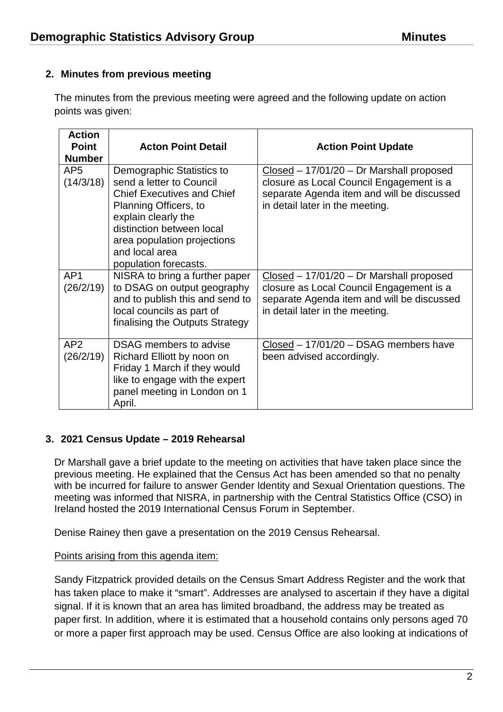## **2. Minutes from previous meeting**

The minutes from the previous meeting were agreed and the following update on action points was given:

| <b>Action</b><br><b>Point</b><br><b>Number</b> | <b>Acton Point Detail</b>                                                                                                                                                                                                                         | <b>Action Point Update</b>                                                                                                                                              |
|------------------------------------------------|---------------------------------------------------------------------------------------------------------------------------------------------------------------------------------------------------------------------------------------------------|-------------------------------------------------------------------------------------------------------------------------------------------------------------------------|
| AP <sub>5</sub><br>(14/3/18)                   | Demographic Statistics to<br>send a letter to Council<br><b>Chief Executives and Chief</b><br>Planning Officers, to<br>explain clearly the<br>distinction between local<br>area population projections<br>and local area<br>population forecasts. | $Closed - 17/01/20 - Dr$ Marshall proposed<br>closure as Local Council Engagement is a<br>separate Agenda item and will be discussed<br>in detail later in the meeting. |
| AP <sub>1</sub><br>(26/2/19)                   | NISRA to bring a further paper<br>to DSAG on output geography<br>and to publish this and send to<br>local councils as part of<br>finalising the Outputs Strategy                                                                                  | $Closed - 17/01/20 - Dr$ Marshall proposed<br>closure as Local Council Engagement is a<br>separate Agenda item and will be discussed<br>in detail later in the meeting. |
| AP2<br>(26/2/19)                               | <b>DSAG</b> members to advise<br>Richard Elliott by noon on<br>Friday 1 March if they would<br>like to engage with the expert<br>panel meeting in London on 1<br>April.                                                                           | Closed - 17/01/20 - DSAG members have<br>been advised accordingly.                                                                                                      |

#### **3. 2021 Census Update – 2019 Rehearsal**

Dr Marshall gave a brief update to the meeting on activities that have taken place since the previous meeting. He explained that the Census Act has been amended so that no penalty with be incurred for failure to answer Gender Identity and Sexual Orientation questions. The meeting was informed that NISRA, in partnership with the Central Statistics Office (CSO) in Ireland hosted the 2019 International Census Forum in September.

Denise Rainey then gave a presentation on the 2019 Census Rehearsal.

#### Points arising from this agenda item:

Sandy Fitzpatrick provided details on the Census Smart Address Register and the work that has taken place to make it "smart". Addresses are analysed to ascertain if they have a digital signal. If it is known that an area has limited broadband, the address may be treated as paper first. In addition, where it is estimated that a household contains only persons aged 70 or more a paper first approach may be used. Census Office are also looking at indications of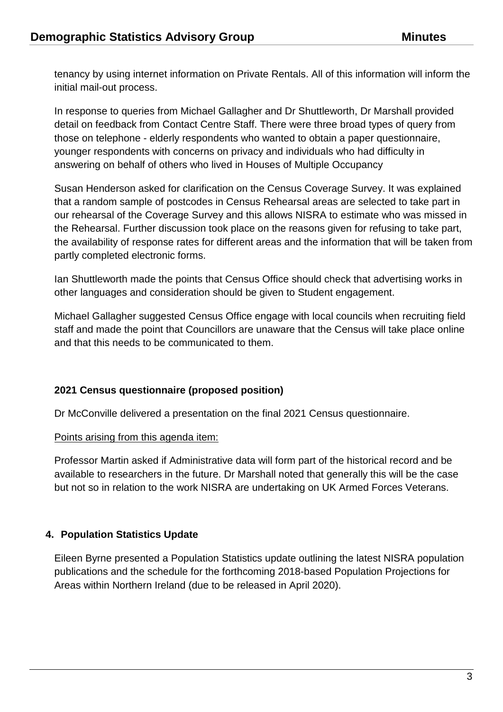tenancy by using internet information on Private Rentals. All of this information will inform the initial mail-out process.

In response to queries from Michael Gallagher and Dr Shuttleworth, Dr Marshall provided detail on feedback from Contact Centre Staff. There were three broad types of query from those on telephone - elderly respondents who wanted to obtain a paper questionnaire, younger respondents with concerns on privacy and individuals who had difficulty in answering on behalf of others who lived in Houses of Multiple Occupancy

Susan Henderson asked for clarification on the Census Coverage Survey. It was explained that a random sample of postcodes in Census Rehearsal areas are selected to take part in our rehearsal of the Coverage Survey and this allows NISRA to estimate who was missed in the Rehearsal. Further discussion took place on the reasons given for refusing to take part, the availability of response rates for different areas and the information that will be taken from partly completed electronic forms.

Ian Shuttleworth made the points that Census Office should check that advertising works in other languages and consideration should be given to Student engagement.

Michael Gallagher suggested Census Office engage with local councils when recruiting field staff and made the point that Councillors are unaware that the Census will take place online and that this needs to be communicated to them.

#### **2021 Census questionnaire (proposed position)**

Dr McConville delivered a presentation on the final 2021 Census questionnaire.

#### Points arising from this agenda item:

Professor Martin asked if Administrative data will form part of the historical record and be available to researchers in the future. Dr Marshall noted that generally this will be the case but not so in relation to the work NISRA are undertaking on UK Armed Forces Veterans.

## **4. Population Statistics Update**

Eileen Byrne presented a Population Statistics update outlining the latest NISRA population publications and the schedule for the forthcoming 2018-based Population Projections for Areas within Northern Ireland (due to be released in April 2020).